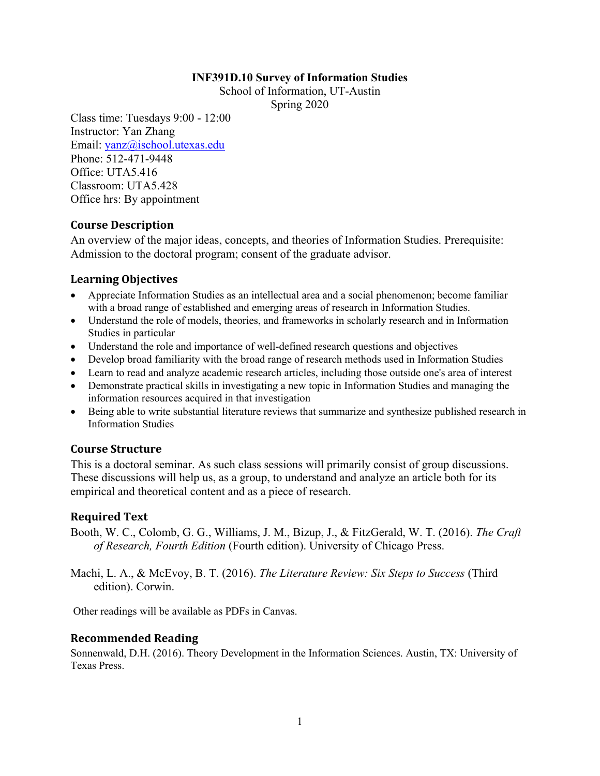#### **INF391D.10 Survey of Information Studies**

School of Information, UT-Austin

Spring 2020

Class time: Tuesdays 9:00 - 12:00 Instructor: Yan Zhang Email: yanz@ischool.utexas.edu Phone: 512-471-9448 Office: UTA5.416 Classroom: UTA5.428 Office hrs: By appointment

### **Course Description**

An overview of the major ideas, concepts, and theories of Information Studies. Prerequisite: Admission to the doctoral program; consent of the graduate advisor.

### **Learning Objectives**

- Appreciate Information Studies as an intellectual area and a social phenomenon; become familiar with a broad range of established and emerging areas of research in Information Studies.
- Understand the role of models, theories, and frameworks in scholarly research and in Information Studies in particular
- Understand the role and importance of well-defined research questions and objectives
- Develop broad familiarity with the broad range of research methods used in Information Studies
- Learn to read and analyze academic research articles, including those outside one's area of interest
- Demonstrate practical skills in investigating a new topic in Information Studies and managing the information resources acquired in that investigation
- Being able to write substantial literature reviews that summarize and synthesize published research in Information Studies

### **Course Structure**

This is a doctoral seminar. As such class sessions will primarily consist of group discussions. These discussions will help us, as a group, to understand and analyze an article both for its empirical and theoretical content and as a piece of research.

### **Required Text**

Booth, W. C., Colomb, G. G., Williams, J. M., Bizup, J., & FitzGerald, W. T. (2016). *The Craft of Research, Fourth Edition* (Fourth edition). University of Chicago Press.

Machi, L. A., & McEvoy, B. T. (2016). *The Literature Review: Six Steps to Success* (Third edition). Corwin.

Other readings will be available as PDFs in Canvas.

### **Recommended Reading**

Sonnenwald, D.H. (2016). Theory Development in the Information Sciences. Austin, TX: University of Texas Press.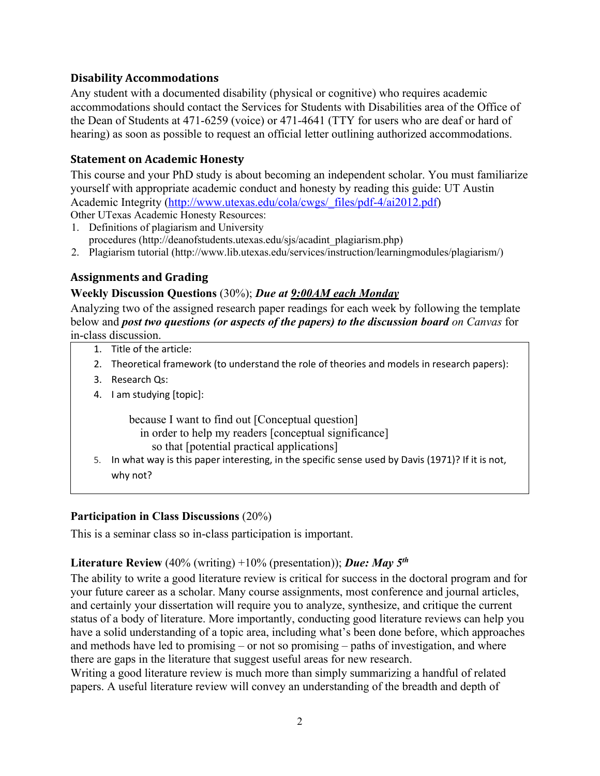### **Disability Accommodations**

Any student with a documented disability (physical or cognitive) who requires academic accommodations should contact the Services for Students with Disabilities area of the Office of the Dean of Students at 471-6259 (voice) or 471-4641 (TTY for users who are deaf or hard of hearing) as soon as possible to request an official letter outlining authorized accommodations.

### **Statement on Academic Honesty**

This course and your PhD study is about becoming an independent scholar. You must familiarize yourself with appropriate academic conduct and honesty by reading this guide: UT Austin Academic Integrity (http://www.utexas.edu/cola/cwgs/\_files/pdf-4/ai2012.pdf)

Other UTexas Academic Honesty Resources:

- 1. Definitions of plagiarism and University procedures (http://deanofstudents.utexas.edu/sjs/acadint\_plagiarism.php)
- 2. Plagiarism tutorial (http://www.lib.utexas.edu/services/instruction/learningmodules/plagiarism/)

# **Assignments and Grading**

## **Weekly Discussion Questions** (30%); *Due at 9:00AM each Monday*

Analyzing two of the assigned research paper readings for each week by following the template below and *post two questions (or aspects of the papers) to the discussion board on Canvas* for in-class discussion.

- 1. Title of the article:
- 2. Theoretical framework (to understand the role of theories and models in research papers):
- 3. Research Qs:
- 4. I am studying [topic]:

because I want to find out [Conceptual question]

- in order to help my readers [conceptual significance]
- so that [potential practical applications]
- 5. In what way is this paper interesting, in the specific sense used by Davis (1971)? If it is not, why not?

### **Participation in Class Discussions** (20%)

This is a seminar class so in-class participation is important.

### **Literature Review** (40% (writing) +10% (presentation)); *Due: May 5th*

The ability to write a good literature review is critical for success in the doctoral program and for your future career as a scholar. Many course assignments, most conference and journal articles, and certainly your dissertation will require you to analyze, synthesize, and critique the current status of a body of literature. More importantly, conducting good literature reviews can help you have a solid understanding of a topic area, including what's been done before, which approaches and methods have led to promising – or not so promising – paths of investigation, and where there are gaps in the literature that suggest useful areas for new research.

Writing a good literature review is much more than simply summarizing a handful of related papers. A useful literature review will convey an understanding of the breadth and depth of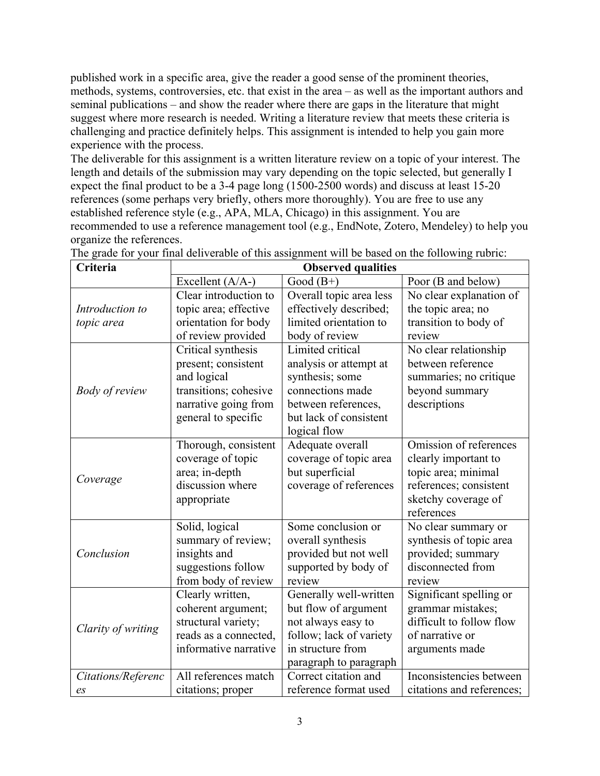published work in a specific area, give the reader a good sense of the prominent theories, methods, systems, controversies, etc. that exist in the area – as well as the important authors and seminal publications – and show the reader where there are gaps in the literature that might suggest where more research is needed. Writing a literature review that meets these criteria is challenging and practice definitely helps. This assignment is intended to help you gain more experience with the process.

The deliverable for this assignment is a written literature review on a topic of your interest. The length and details of the submission may vary depending on the topic selected, but generally I expect the final product to be a 3-4 page long (1500-2500 words) and discuss at least 15-20 references (some perhaps very briefly, others more thoroughly). You are free to use any established reference style (e.g., APA, MLA, Chicago) in this assignment. You are recommended to use a reference management tool (e.g., EndNote, Zotero, Mendeley) to help you organize the references.

| Criteria              | <b>Observed qualities</b> |                         |                           |  |
|-----------------------|---------------------------|-------------------------|---------------------------|--|
|                       | Excellent $(A/A-)$        | Good $(B+)$             | Poor (B and below)        |  |
| Introduction to       | Clear introduction to     | Overall topic area less | No clear explanation of   |  |
|                       | topic area; effective     | effectively described;  | the topic area; no        |  |
| topic area            | orientation for body      | limited orientation to  | transition to body of     |  |
|                       | of review provided        | body of review          | review                    |  |
| <b>Body of review</b> | Critical synthesis        | Limited critical        | No clear relationship     |  |
|                       | present; consistent       | analysis or attempt at  | between reference         |  |
|                       | and logical               | synthesis; some         | summaries; no critique    |  |
|                       | transitions; cohesive     | connections made        | beyond summary            |  |
|                       | narrative going from      | between references,     | descriptions              |  |
|                       | general to specific       | but lack of consistent  |                           |  |
|                       |                           | logical flow            |                           |  |
| Coverage              | Thorough, consistent      | Adequate overall        | Omission of references    |  |
|                       | coverage of topic         | coverage of topic area  | clearly important to      |  |
|                       | area; in-depth            | but superficial         | topic area; minimal       |  |
|                       | discussion where          | coverage of references  | references; consistent    |  |
|                       | appropriate               |                         | sketchy coverage of       |  |
|                       |                           |                         | references                |  |
| Conclusion            | Solid, logical            | Some conclusion or      | No clear summary or       |  |
|                       | summary of review;        | overall synthesis       | synthesis of topic area   |  |
|                       | insights and              | provided but not well   | provided; summary         |  |
|                       | suggestions follow        | supported by body of    | disconnected from         |  |
|                       | from body of review       | review                  | review                    |  |
| Clarity of writing    | Clearly written,          | Generally well-written  | Significant spelling or   |  |
|                       | coherent argument;        | but flow of argument    | grammar mistakes;         |  |
|                       | structural variety;       | not always easy to      | difficult to follow flow  |  |
|                       | reads as a connected,     | follow; lack of variety | of narrative or           |  |
|                       | informative narrative     | in structure from       | arguments made            |  |
|                       |                           | paragraph to paragraph  |                           |  |
| Citations/Referenc    | All references match      | Correct citation and    | Inconsistencies between   |  |
| e <sub>S</sub>        | citations; proper         | reference format used   | citations and references; |  |

The grade for your final deliverable of this assignment will be based on the following rubric: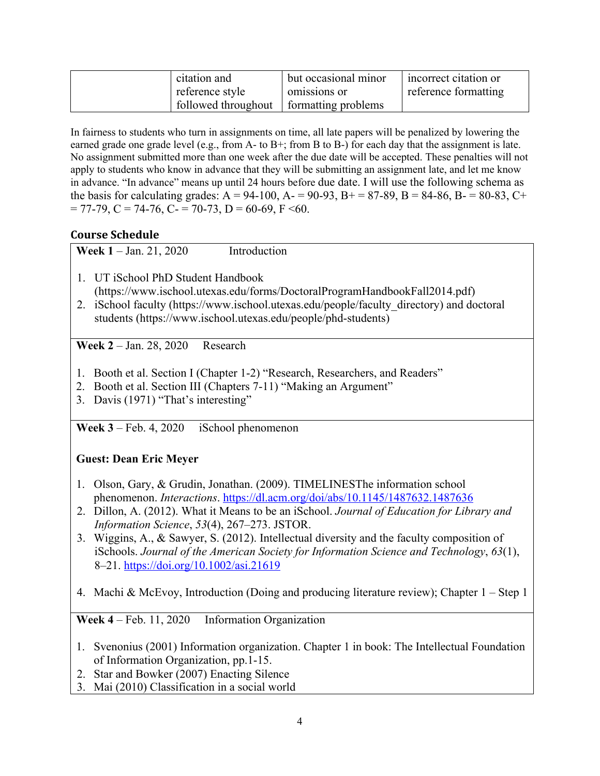| citation and                              | but occasional minor | incorrect citation or |
|-------------------------------------------|----------------------|-----------------------|
| reference style                           | omissions or         | reference formatting  |
| followed throughout   formatting problems |                      |                       |

In fairness to students who turn in assignments on time, all late papers will be penalized by lowering the earned grade one grade level (e.g., from A- to B+; from B to B-) for each day that the assignment is late. No assignment submitted more than one week after the due date will be accepted. These penalties will not apply to students who know in advance that they will be submitting an assignment late, and let me know in advance. "In advance" means up until 24 hours before due date. I will use the following schema as the basis for calculating grades:  $A = 94-100$ ,  $A = 90-93$ ,  $B = 87-89$ ,  $B = 84-86$ ,  $B = 80-83$ , C+  $= 77-79$ , C = 74-76, C- = 70-73, D = 60-69, F <60.

### **Course Schedule**

Week 1 – Jan. 21, 2020 Introduction

- 1. UT iSchool PhD Student Handbook (https://www.ischool.utexas.edu/forms/DoctoralProgramHandbookFall2014.pdf)
- 2. iSchool faculty (https://www.ischool.utexas.edu/people/faculty\_directory) and doctoral students (https://www.ischool.utexas.edu/people/phd-students)

**Week 2** – Jan. 28, 2020 Research

- 1. Booth et al. Section I (Chapter 1-2) "Research, Researchers, and Readers"
- 2. Booth et al. Section III (Chapters 7-11) "Making an Argument"
- 3. Davis (1971) "That's interesting"

**Week 3** – Feb. 4, 2020 iSchool phenomenon

# **Guest: Dean Eric Meyer**

- 1. Olson, Gary, & Grudin, Jonathan. (2009). TIMELINESThe information school phenomenon. *Interactions*. https://dl.acm.org/doi/abs/10.1145/1487632.1487636
- 2. Dillon, A. (2012). What it Means to be an iSchool. *Journal of Education for Library and Information Science*, *53*(4), 267–273. JSTOR.
- 3. Wiggins, A., & Sawyer, S. (2012). Intellectual diversity and the faculty composition of iSchools. *Journal of the American Society for Information Science and Technology*, *63*(1), 8–21. https://doi.org/10.1002/asi.21619
- 4. Machi & McEvoy, Introduction (Doing and producing literature review); Chapter 1 Step 1

Week 4 – Feb. 11, 2020 Information Organization

- 1. Svenonius (2001) Information organization. Chapter 1 in book: The Intellectual Foundation of Information Organization, pp.1-15.
- 2. Star and Bowker (2007) Enacting Silence
- 3. Mai (2010) Classification in a social world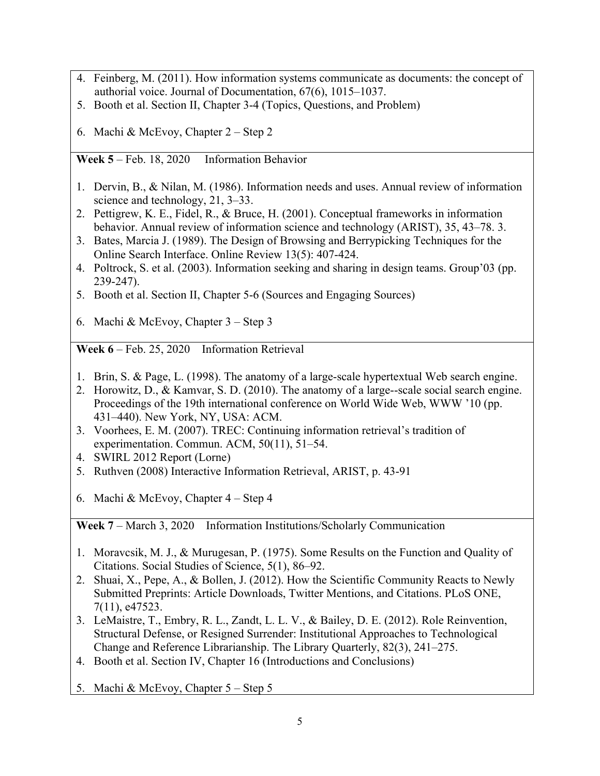- 4. Feinberg, M. (2011). How information systems communicate as documents: the concept of authorial voice. Journal of Documentation, 67(6), 1015–1037.
- 5. Booth et al. Section II, Chapter 3-4 (Topics, Questions, and Problem)
- 6. Machi & McEvoy, Chapter 2 Step 2

**Week 5** – Feb. 18, 2020 Information Behavior

- 1. Dervin, B., & Nilan, M. (1986). Information needs and uses. Annual review of information science and technology, 21, 3–33.
- 2. Pettigrew, K. E., Fidel, R., & Bruce, H. (2001). Conceptual frameworks in information behavior. Annual review of information science and technology (ARIST), 35, 43–78. 3.
- 3. Bates, Marcia J. (1989). The Design of Browsing and Berrypicking Techniques for the Online Search Interface. Online Review 13(5): 407-424.
- 4. Poltrock, S. et al. (2003). Information seeking and sharing in design teams. Group'03 (pp. 239-247).
- 5. Booth et al. Section II, Chapter 5-6 (Sources and Engaging Sources)
- 6. Machi & McEvoy, Chapter 3 Step 3

**Week 6** – Feb. 25, 2020 Information Retrieval

- 1. Brin, S. & Page, L. (1998). The anatomy of a large-scale hypertextual Web search engine.
- 2. Horowitz, D., & Kamvar, S. D. (2010). The anatomy of a large--scale social search engine. Proceedings of the 19th international conference on World Wide Web, WWW '10 (pp. 431–440). New York, NY, USA: ACM.
- 3. Voorhees, E. M. (2007). TREC: Continuing information retrieval's tradition of experimentation. Commun. ACM, 50(11), 51–54.
- 4. SWIRL 2012 Report (Lorne)
- 5. Ruthven (2008) Interactive Information Retrieval, ARIST, p. 43-91
- 6. Machi & McEvoy, Chapter 4 Step 4

**Week 7** – March 3, 2020 Information Institutions/Scholarly Communication

- 1. Moravcsik, M. J., & Murugesan, P. (1975). Some Results on the Function and Quality of Citations. Social Studies of Science, 5(1), 86–92.
- 2. Shuai, X., Pepe, A., & Bollen, J. (2012). How the Scientific Community Reacts to Newly Submitted Preprints: Article Downloads, Twitter Mentions, and Citations. PLoS ONE, 7(11), e47523.
- 3. LeMaistre, T., Embry, R. L., Zandt, L. L. V., & Bailey, D. E. (2012). Role Reinvention, Structural Defense, or Resigned Surrender: Institutional Approaches to Technological Change and Reference Librarianship. The Library Quarterly, 82(3), 241–275.
- 4. Booth et al. Section IV, Chapter 16 (Introductions and Conclusions)
- 5. Machi & McEvoy, Chapter 5 Step 5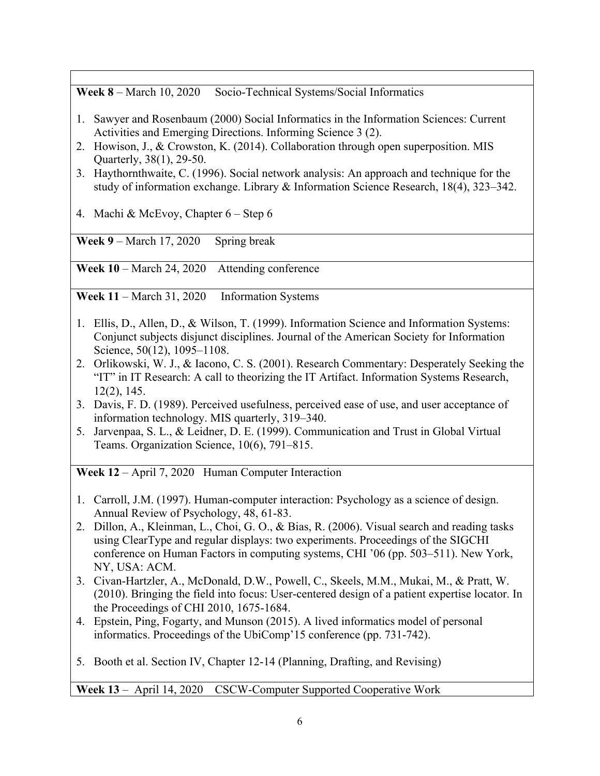**Week 8** – March 10, 2020 Socio-Technical Systems/Social Informatics

- 1. Sawyer and Rosenbaum (2000) Social Informatics in the Information Sciences: Current Activities and Emerging Directions. Informing Science 3 (2).
- 2. Howison, J., & Crowston, K. (2014). Collaboration through open superposition. MIS Quarterly, 38(1), 29-50.
- 3. Haythornthwaite, C. (1996). Social network analysis: An approach and technique for the study of information exchange. Library & Information Science Research, 18(4), 323–342.

4. Machi & McEvoy, Chapter 6 – Step 6

Week 9 – March 17, 2020 Spring break

**Week 10** – March 24, 2020 Attending conference

Week 11 – March 31, 2020 Information Systems

- 1. Ellis, D., Allen, D., & Wilson, T. (1999). Information Science and Information Systems: Conjunct subjects disjunct disciplines. Journal of the American Society for Information Science, 50(12), 1095–1108.
- 2. Orlikowski, W. J., & Iacono, C. S. (2001). Research Commentary: Desperately Seeking the "IT" in IT Research: A call to theorizing the IT Artifact. Information Systems Research, 12(2), 145.
- 3. Davis, F. D. (1989). Perceived usefulness, perceived ease of use, and user acceptance of information technology. MIS quarterly, 319–340.
- 5. Jarvenpaa, S. L., & Leidner, D. E. (1999). Communication and Trust in Global Virtual Teams. Organization Science, 10(6), 791–815.

**Week 12** – April 7, 2020 Human Computer Interaction

- 1. Carroll, J.M. (1997). Human-computer interaction: Psychology as a science of design. Annual Review of Psychology, 48, 61-83.
- 2. Dillon, A., Kleinman, L., Choi, G. O., & Bias, R. (2006). Visual search and reading tasks using ClearType and regular displays: two experiments. Proceedings of the SIGCHI conference on Human Factors in computing systems, CHI '06 (pp. 503–511). New York, NY, USA: ACM.
- 3. Civan-Hartzler, A., McDonald, D.W., Powell, C., Skeels, M.M., Mukai, M., & Pratt, W. (2010). Bringing the field into focus: User-centered design of a patient expertise locator. In the Proceedings of CHI 2010, 1675-1684.
- 4. Epstein, Ping, Fogarty, and Munson (2015). A lived informatics model of personal informatics. Proceedings of the UbiComp'15 conference (pp. 731-742).
- 5. Booth et al. Section IV, Chapter 12-14 (Planning, Drafting, and Revising)

**Week 13** – April 14, 2020 CSCW-Computer Supported Cooperative Work